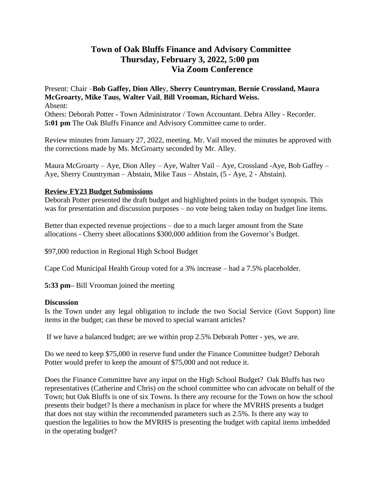# **Town of Oak Bluffs Finance and Advisory Committee Thursday, February 3, 2022, 5:00 pm Via Zoom Conference**

Present: Chair –**Bob Gaffey, Dion Alle**y, **Sherry Countryman**, **Bernie Crossland, Maura McGroarty, Mike Taus, Walter Vail**, **Bill Vrooman, Richard Weiss.**  Absent: Others: Deborah Potter - Town Administrator / Town Accountant. Debra Alley - Recorder. **5:01 pm** The Oak Bluffs Finance and Advisory Committee came to order.

Review minutes from January 27, 2022, meeting. Mr. Vail moved the minutes be approved with the corrections made by Ms. McGroarty seconded by Mr. Alley.

Maura McGroarty – Aye, Dion Alley – Aye, Walter Vail – Aye, Crossland -Aye, Bob Gaffey – Aye, Sherry Countryman – Abstain, Mike Taus – Abstain, (5 - Aye, 2 - Abstain).

## **Review FY23 Budget Submissions**

Deborah Potter presented the draft budget and highlighted points in the budget synopsis. This was for presentation and discussion purposes – no vote being taken today on budget line items.

Better than expected revenue projections – due to a much larger amount from the State allocations - Cherry sheet allocations \$300,000 addition from the Governor's Budget.

\$97,000 reduction in Regional High School Budget

Cape Cod Municipal Health Group voted for a 3% increase – had a 7.5% placeholder.

**5:33 pm–** Bill Vrooman joined the meeting

### **Discussion**

Is the Town under any legal obligation to include the two Social Service (Govt Support) line items in the budget; can these be moved to special warrant articles?

If we have a balanced budget; are we within prop 2.5% Deborah Potter - yes, we are.

Do we need to keep \$75,000 in reserve fund under the Finance Committee budget? Deborah Potter would prefer to keep the amount of \$75,000 and not reduce it.

Does the Finance Committee have any input on the High School Budget? Oak Bluffs has two representatives (Catherine and Chris) on the school committee who can advocate on behalf of the Town; but Oak Bluffs is one of six Towns. Is there any recourse for the Town on how the school presents their budget? Is there a mechanism in place for where the MVRHS presents a budget that does not stay within the recommended parameters such as 2.5%. Is there any way to question the legalities to how the MVRHS is presenting the budget with capital items imbedded in the operating budget?